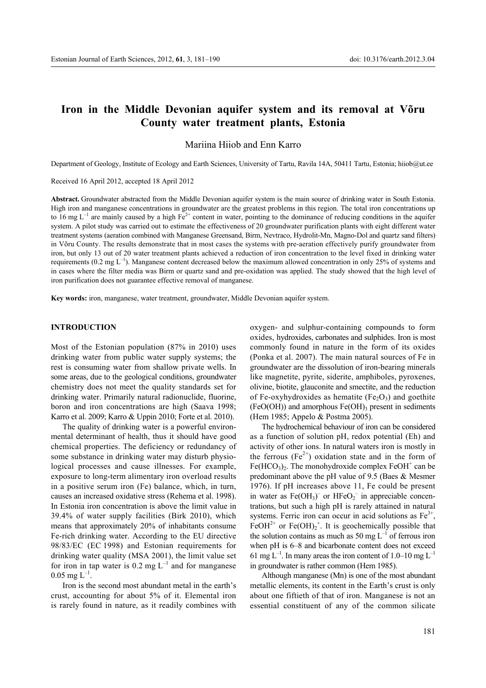# Iron in the Middle Devonian aquifer system and its removal at Võru **County water treatment plants, Estonia**

Mariina Hiiob and Enn Karro

Department of Geology, Institute of Ecology and Earth Sciences, University of Tartu, Ravila 14A, 50411 Tartu, Estonia; hiiob@ut.ee

Received 16 April 2012, accepted 18 April 2012

**Abstract.** Groundwater abstracted from the Middle Devonian aquifer system is the main source of drinking water in South Estonia. High iron and manganese concentrations in groundwater are the greatest problems in this region. The total iron concentrations up to 16 mg  $L^{-1}$  are mainly caused by a high Fe<sup>2+</sup> content in water, pointing to the dominance of reducing conditions in the aquifer system. A pilot study was carried out to estimate the effectiveness of 20 groundwater purification plants with eight different water treatment systems (aeration combined with Manganese Greensand, Birm, Nevtraco, Hydrolit-Mn, Magno-Dol and quartz sand filters) in Võru County. The results demonstrate that in most cases the systems with pre-aeration effectively purify groundwater from iron, but only 13 out of 20 water treatment plants achieved a reduction of iron concentration to the level fixed in drinking water requirements (0.2 mg  $L^{-1}$ ). Manganese content decreased below the maximum allowed concentration in only 25% of systems and in cases where the filter media was Birm or quartz sand and pre-oxidation was applied. The study showed that the high level of iron purification does not guarantee effective removal of manganese.

**Key words:** iron, manganese, water treatment, groundwater, Middle Devonian aquifer system.

#### **INTRODUCTION**

Most of the Estonian population (87% in 2010) uses drinking water from public water supply systems; the rest is consuming water from shallow private wells. In some areas, due to the geological conditions, groundwater chemistry does not meet the quality standards set for drinking water. Primarily natural radionuclide, fluorine, boron and iron concentrations are high (Saava 1998; Karro et al. 2009; Karro & Uppin 2010; Forte et al. 2010).

The quality of drinking water is a powerful environmental determinant of health, thus it should have good chemical properties. The deficiency or redundancy of some substance in drinking water may disturb physiological processes and cause illnesses. For example, exposure to long-term alimentary iron overload results in a positive serum iron (Fe) balance, which, in turn, causes an increased oxidative stress (Rehema et al. 1998). In Estonia iron concentration is above the limit value in 39.4% of water supply facilities (Birk 2010), which means that approximately 20% of inhabitants consume Fe-rich drinking water. According to the EU directive 98/83/EC (EC 1998) and Estonian requirements for drinking water quality (MSA 2001), the limit value set for iron in tap water is 0.2 mg  $L^{-1}$  and for manganese  $0.05$  mg  $L^{-1}$ .

Iron is the second most abundant metal in the earth's crust, accounting for about 5% of it. Elemental iron is rarely found in nature, as it readily combines with oxygen- and sulphur-containing compounds to form oxides, hydroxides, carbonates and sulphides. Iron is most commonly found in nature in the form of its oxides (Ponka et al. 2007). The main natural sources of Fe in groundwater are the dissolution of iron-bearing minerals like magnetite, pyrite, siderite, amphiboles, pyroxenes, olivine, biotite, glauconite and smectite, and the reduction of Fe-oxyhydroxides as hematite ( $Fe<sub>2</sub>O<sub>3</sub>$ ) and goethite  $(FeO(OH))$  and amorphous  $Fe(OH)$ <sub>3</sub> present in sediments (Hem 1985; Appelo & Postma 2005).

The hydrochemical behaviour of iron can be considered as a function of solution pH, redox potential (Eh) and activity of other ions. In natural waters iron is mostly in the ferrous  $(Fe^{2+})$  oxidation state and in the form of  $Fe(HCO<sub>3</sub>)<sub>2</sub>$ . The monohydroxide complex  $FeOH<sup>+</sup>$  can be predominant above the pH value of 9.5 (Baes & Mesmer 1976). If pH increases above 11, Fe could be present in water as  $Fe(OH<sub>3</sub>)$ <sup>-</sup> or  $HFeO<sub>2</sub>$ <sup>-</sup> in appreciable concentrations, but such a high pH is rarely attained in natural systems. Ferric iron can occur in acid solutions as  $Fe<sup>3+</sup>$ , FeOH<sup>2+</sup> or Fe(OH)<sub>2</sub><sup>+</sup>. It is geochemically possible that the solution contains as much as 50 mg  $L^{-1}$  of ferrous iron when pH is 6–8 and bicarbonate content does not exceed 61 mg L<sup>-1</sup>. In many areas the iron content of 1.0–10 mg L<sup>-1</sup> in groundwater is rather common (Hem 1985).

Although manganese (Mn) is one of the most abundant metallic elements, its content in the Earth's crust is only about one fiftieth of that of iron. Manganese is not an essential constituent of any of the common silicate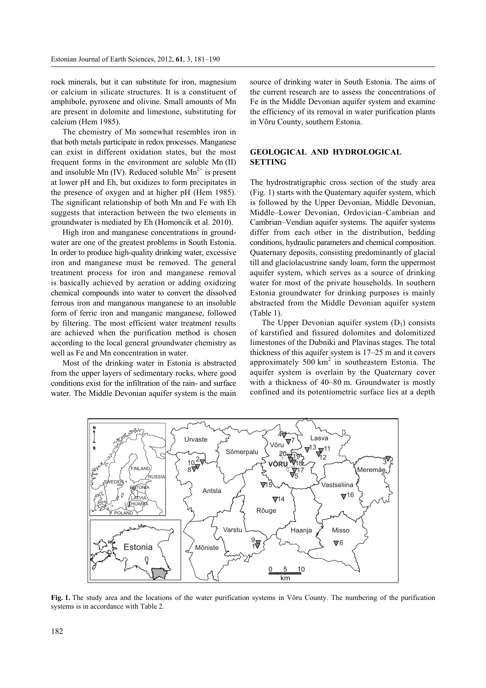rock minerals, but it can substitute for iron, magnesium or calcium in silicate structures. It is a constituent of amphibole, pyroxene and olivine. Small amounts of Mn are present in dolomite and limestone, substituting for calcium (Hem 1985).

The chemistry of Mn somewhat resembles iron in that both metals participate in redox processes. Manganese can exist in different oxidation states, but the most frequent forms in the environment are soluble Mn (II) and insoluble Mn (IV). Reduced soluble  $Mn^{2+}$  is present at lower pH and Eh, but oxidizes to form precipitates in the presence of oxygen and at higher pH (Hem 1985). The significant relationship of both Mn and Fe with Eh suggests that interaction between the two elements in groundwater is mediated by Eh (Homoncik et al. 2010).

High iron and manganese concentrations in groundwater are one of the greatest problems in South Estonia. In order to produce high-quality drinking water, excessive iron and manganese must be removed. The general treatment process for iron and manganese removal is basically achieved by aeration or adding oxidizing chemical compounds into water to convert the dissolved ferrous iron and manganous manganese to an insoluble form of ferric iron and manganic manganese, followed by filtering. The most efficient water treatment results are achieved when the purification method is chosen according to the local general groundwater chemistry as well as Fe and Mn concentration in water.

Most of the drinking water in Estonia is abstracted from the upper layers of sedimentary rocks, where good conditions exist for the infiltration of the rain- and surface water. The Middle Devonian aquifer system is the main source of drinking water in South Estonia. The aims of the current research are to assess the concentrations of Fe in the Middle Devonian aquifer system and examine the efficiency of its removal in water purification plants in Võru County, southern Estonia.

# **GEOLOGICAL AND HYDROLOGICAL SETTING**

The hydrostratigraphic cross section of the study area (Fig. 1) starts with the Quaternary aquifer system, which is followed by the Upper Devonian, Middle Devonian, Middle-Lower Devonian, Ordovician-Cambrian and Cambrian–Vendian aquifer systems. The aquifer systems differ from each other in the distribution, bedding conditions, hydraulic parameters and chemical composition. Quaternary deposits, consisting predominantly of glacial till and glaciolacustrine sandy loam, form the uppermost aquifer system, which serves as a source of drinking water for most of the private households. In southern Estonia groundwater for drinking purposes is mainly abstracted from the Middle Devonian aquifer system (Table 1).

The Upper Devonian aquifer system  $(D_3)$  consists of karstified and fissured dolomites and dolomitized limestones of the Dubniki and Plavinas stages. The total thickness of this aquifer system is  $17-25$  m and it covers approximately  $500 \text{ km}^2$  in southeastern Estonia. The aquifer system is overlain by the Quaternary cover with a thickness of  $40-80$  m. Groundwater is mostly confined and its potentiometric surface lies at a depth



Fig. 1. The study area and the locations of the water purification systems in Võru County. The numbering of the purification systems is in accordance with Table 2.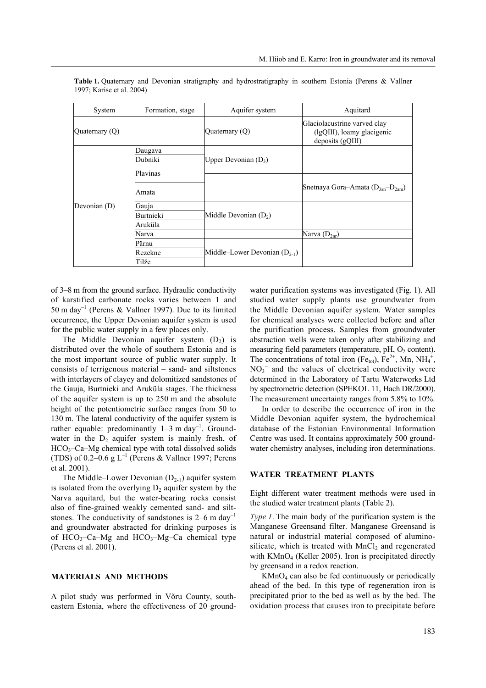| System           | Formation, stage | Aquifer system                    | Aquitard                                                                         |  |
|------------------|------------------|-----------------------------------|----------------------------------------------------------------------------------|--|
| Quaternary $(Q)$ |                  | Quaternary $(Q)$                  | Glaciolacustrine varved clay<br>(lgQIII), loamy glacigenic<br>$deposits$ (gQIII) |  |
| Devonian (D)     | Daugava          |                                   |                                                                                  |  |
|                  | Dubniki          | Upper Devonian $(D_3)$            |                                                                                  |  |
|                  | Plavinas         |                                   |                                                                                  |  |
|                  |                  |                                   |                                                                                  |  |
|                  | Amata            |                                   | Snetnaya Gora-Amata (D <sub>3sn</sub> -D <sub>2am</sub> )                        |  |
|                  | Gauja            |                                   |                                                                                  |  |
|                  | Burtnieki        | Middle Devonian $(D_2)$           |                                                                                  |  |
|                  | Aruküla          |                                   |                                                                                  |  |
|                  | Narva            |                                   | Narva $(D_{2nr})$                                                                |  |
|                  | Pärnu            |                                   |                                                                                  |  |
|                  | Rezekne          | Middle-Lower Devonian $(D_{2-1})$ |                                                                                  |  |
|                  | Tilže            |                                   |                                                                                  |  |

**Table 1.** Quaternary and Devonian stratigraphy and hydrostratigraphy in southern Estonia (Perens & Vallner 1997; Karise et al. 2004)

of  $3-8$  m from the ground surface. Hydraulic conductivity of karstified carbonate rocks varies between 1 and 50 m day<sup>-1</sup> (Perens & Vallner 1997). Due to its limited occurrence, the Upper Devonian aquifer system is used for the public water supply in a few places only.

The Middle Devonian aquifer system  $(D_2)$  is distributed over the whole of southern Estonia and is the most important source of public water supply. It consists of terrigenous material  $-$  sand- and siltstones with interlayers of clayey and dolomitized sandstones of the Gauja, Burtnieki and Aruküla stages. The thickness of the aquifer system is up to 250 m and the absolute height of the potentiometric surface ranges from 50 to 130 m. The lateral conductivity of the aquifer system is rather equable: predominantly  $1-3$  m day<sup>-1</sup>. Groundwater in the  $D_2$  aquifer system is mainly fresh, of  $HCO<sub>3</sub>-Ca-Mg$  chemical type with total dissolved solids (TDS) of 0.2–0.6 g  $L^{-1}$  (Perens & Vallner 1997; Perens et al. 2001).

The Middle-Lower Devonian  $(D_{2-1})$  aquifer system is isolated from the overlying  $D_2$  aquifer system by the Narva aquitard, but the water-bearing rocks consist also of fine-grained weakly cemented sand- and siltstones. The conductivity of sandstones is  $2-6$  m day<sup>-1</sup> and groundwater abstracted for drinking purposes is of  $HCO<sub>3</sub>-Ca-Mg$  and  $HCO<sub>3</sub>-Mg-Ca$  chemical type (Perens et al. 2001).

#### **MATERIALS AND METHODS**

A pilot study was performed in Võru County, southeastern Estonia, where the effectiveness of 20 groundwater purification systems was investigated (Fig. 1). All studied water supply plants use groundwater from the Middle Devonian aquifer system. Water samples for chemical analyses were collected before and after the purification process. Samples from groundwater abstraction wells were taken only after stabilizing and measuring field parameters (temperature,  $pH$ ,  $O<sub>2</sub>$  content). The concentrations of total iron (Fe<sub>tot</sub>), Fe<sup>2+</sup>, Mn, NH<sub>4</sub><sup>+</sup>,  $NO<sub>3</sub><sup>-</sup>$  and the values of electrical conductivity were determined in the Laboratory of Tartu Waterworks Ltd by spectrometric detection (SPEKOL 11, Hach DR/2000). The measurement uncertainty ranges from 5.8% to 10%.

In order to describe the occurrence of iron in the Middle Devonian aquifer system, the hydrochemical database of the Estonian Environmental Information Centre was used. It contains approximately 500 groundwater chemistry analyses, including iron determinations.

#### **WATER TREATMENT PLANTS**

Eight different water treatment methods were used in the studied water treatment plants (Table 2).

*Type 1*. The main body of the purification system is the Manganese Greensand filter. Manganese Greensand is natural or industrial material composed of aluminosilicate, which is treated with  $MnCl<sub>2</sub>$  and regenerated with  $KMnO<sub>4</sub>$  (Keller 2005). Iron is precipitated directly by greensand in a redox reaction.

KMnO4 can also be fed continuously or periodically ahead of the bed. In this type of regeneration iron is precipitated prior to the bed as well as by the bed. The oxidation process that causes iron to precipitate before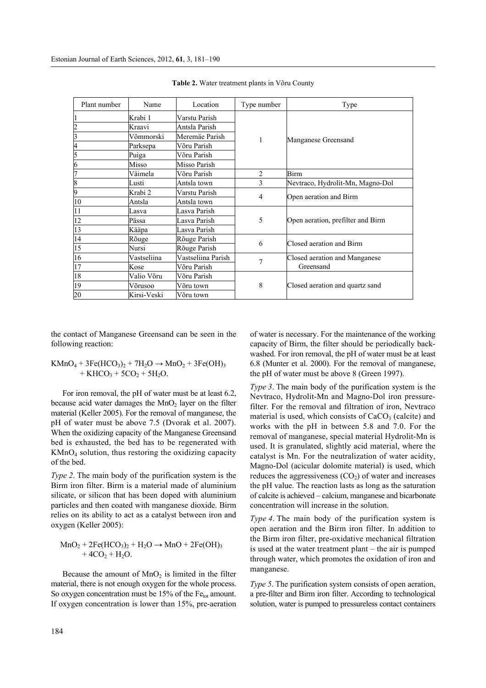| Plant number | Name        | Location           | Type number    | Type                                       |  |  |
|--------------|-------------|--------------------|----------------|--------------------------------------------|--|--|
|              | Krabi 1     | Varstu Parish      |                |                                            |  |  |
|              | Kraavi      | Antsla Parish      |                | Manganese Greensand                        |  |  |
| 3            | Võmmorski   | Meremäe Parish     | 1              |                                            |  |  |
| 4            | Parksepa    | Võru Parish        |                |                                            |  |  |
| 5            | Puiga       | Võru Parish        |                |                                            |  |  |
| 6            | Misso       | Misso Parish       |                |                                            |  |  |
|              | Väimela     | Võru Parish        | 2              | Birm                                       |  |  |
| 8            | Lusti       | Antsla town        | 3              | Nevtraco, Hydrolit-Mn, Magno-Dol           |  |  |
| 9            | Krabi 2     | Varstu Parish      | $\overline{4}$ | Open aeration and Birm                     |  |  |
| 10           | Antsla      | Antsla town        |                |                                            |  |  |
| 11           | Lasva       | Lasva Parish       |                | Open aeration, prefilter and Birm          |  |  |
| 12           | Pässa       | Lasva Parish       | 5              |                                            |  |  |
| 13           | Kääpa       | Lasva Parish       |                |                                            |  |  |
| 14           | Rõuge       | Rõuge Parish       | 6              | Closed aeration and Birm                   |  |  |
| 15           | Nursi       | Rõuge Parish       |                |                                            |  |  |
| 16           | Vastseliina | Vastseliina Parish | 7              | Closed aeration and Manganese<br>Greensand |  |  |
| 17           | Kose        | Võru Parish        |                |                                            |  |  |
| 18           | Valio Võru  | Võru Parish        |                | Closed aeration and quartz sand            |  |  |
| 19           | Võrusoo     | Võru town          | 8              |                                            |  |  |
| 20           | Kirsi-Veski | Võru town          |                |                                            |  |  |

Table 2. Water treatment plants in Võru County

the contact of Manganese Greensand can be seen in the following reaction:

$$
KMnO4 + 3Fe(HCO3)2 + 7H2O \rightarrow MnO2 + 3Fe(OH)3 + KHCO3 + 5CO2 + 5H2O.
$$

For iron removal, the pH of water must be at least 6.2, because acid water damages the  $MnO<sub>2</sub>$  layer on the filter material (Keller 2005). For the removal of manganese, the pH of water must be above 7.5 (Dvorak et al. 2007). When the oxidizing capacity of the Manganese Greensand bed is exhausted, the bed has to be regenerated with KMnO4 solution, thus restoring the oxidizing capacity of the bed.

*Type 2*. The main body of the purification system is the Birm iron filter. Birm is a material made of aluminium silicate, or silicon that has been doped with aluminium particles and then coated with manganese dioxide. Birm relies on its ability to act as a catalyst between iron and oxygen (Keller 2005):

$$
MnO2 + 2Fe(HCO3)2 + H2O \rightarrow MnO + 2Fe(OH)3 + 4CO2 + H2O.
$$

Because the amount of  $MnO<sub>2</sub>$  is limited in the filter material, there is not enough oxygen for the whole process. So oxygen concentration must be  $15%$  of the Fe<sub>tot</sub> amount. If oxygen concentration is lower than 15%, pre-aeration of water is necessary. For the maintenance of the working capacity of Birm, the filter should be periodically backwashed. For iron removal, the pH of water must be at least 6.8 (Munter et al. 2000). For the removal of manganese, the pH of water must be above 8 (Green 1997).

*Type 3*. The main body of the purification system is the Nevtraco, Hydrolit-Mn and Magno-Dol iron pressurefilter. For the removal and filtration of iron, Nevtraco material is used, which consists of  $CaCO<sub>3</sub>$  (calcite) and works with the pH in between 5.8 and 7.0. For the removal of manganese, special material Hydrolit-Mn is used. It is granulated, slightly acid material, where the catalyst is Mn. For the neutralization of water acidity, Magno-Dol (acicular dolomite material) is used, which reduces the aggressiveness  $(CO<sub>2</sub>)$  of water and increases the pH value. The reaction lasts as long as the saturation of calcite is achieved – calcium, manganese and bicarbonate concentration will increase in the solution.

*Type 4*. The main body of the purification system is open aeration and the Birm iron filter. In addition to the Birm iron filter, pre-oxidative mechanical filtration is used at the water treatment plant  $-$  the air is pumped through water, which promotes the oxidation of iron and manganese.

*Type 5*. The purification system consists of open aeration, a pre-filter and Birm iron filter. According to technological solution, water is pumped to pressureless contact containers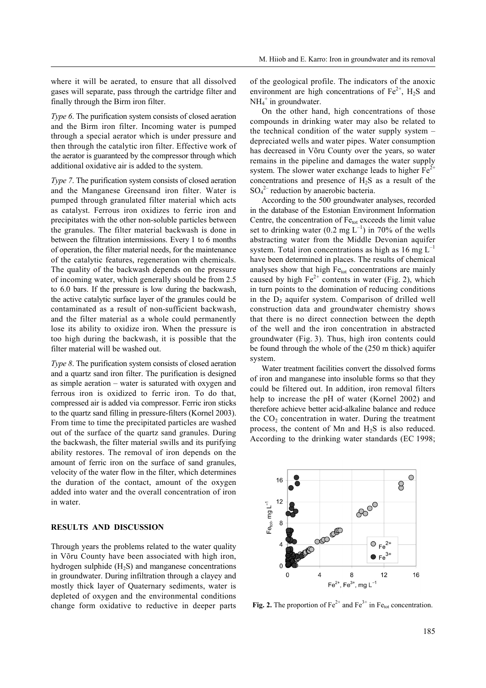where it will be aerated, to ensure that all dissolved gases will separate, pass through the cartridge filter and finally through the Birm iron filter.

*Type 6*. The purification system consists of closed aeration and the Birm iron filter. Incoming water is pumped through a special aerator which is under pressure and then through the catalytic iron filter. Effective work of the aerator is guaranteed by the compressor through which additional oxidative air is added to the system.

*Type 7.* The purification system consists of closed aeration and the Manganese Greensand iron filter. Water is pumped through granulated filter material which acts as catalyst. Ferrous iron oxidizes to ferric iron and precipitates with the other non-soluble particles between the granules. The filter material backwash is done in between the filtration intermissions. Every 1 to 6 months of operation, the filter material needs, for the maintenance of the catalytic features, regeneration with chemicals. The quality of the backwash depends on the pressure of incoming water, which generally should be from 2.5 to 6.0 bars. If the pressure is low during the backwash, the active catalytic surface layer of the granules could be contaminated as a result of non-sufficient backwash, and the filter material as a whole could permanently lose its ability to oxidize iron. When the pressure is too high during the backwash, it is possible that the filter material will be washed out.

*Type 8*. The purification system consists of closed aeration and a quartz sand iron filter. The purification is designed as simple aeration  $-$  water is saturated with oxygen and ferrous iron is oxidized to ferric iron. To do that, compressed air is added via compressor. Ferric iron sticks to the quartz sand filling in pressure-filters (Kornel 2003). From time to time the precipitated particles are washed out of the surface of the quartz sand granules. During the backwash, the filter material swills and its purifying ability restores. The removal of iron depends on the amount of ferric iron on the surface of sand granules, velocity of the water flow in the filter, which determines the duration of the contact, amount of the oxygen added into water and the overall concentration of iron in water.

## **RESULTS AND DISCUSSION**

Through years the problems related to the water quality in Võru County have been associated with high iron, hydrogen sulphide  $(H_2S)$  and manganese concentrations in groundwater. During infiltration through a clayey and mostly thick layer of Quaternary sediments, water is depleted of oxygen and the environmental conditions change form oxidative to reductive in deeper parts of the geological profile. The indicators of the anoxic environment are high concentrations of  $Fe^{2+}$ , H<sub>2</sub>S and  $NH_4^+$  in groundwater.

On the other hand, high concentrations of those compounds in drinking water may also be related to the technical condition of the water supply system  $$ depreciated wells and water pipes. Water consumption has decreased in Võru County over the years, so water remains in the pipeline and damages the water supply system. The slower water exchange leads to higher  $Fe<sup>2+</sup>$ concentrations and presence of H2S as a result of the  $SO_4^2$ <sup>-</sup> reduction by anaerobic bacteria.

According to the 500 groundwater analyses, recorded in the database of the Estonian Environment Information Centre, the concentration of Fe<sub>tot</sub> exceeds the limit value set to drinking water (0.2 mg  $L^{-1}$ ) in 70% of the wells abstracting water from the Middle Devonian aquifer system. Total iron concentrations as high as 16 mg  $L^{-1}$ have been determined in places. The results of chemical analyses show that high Fe<sub>tot</sub> concentrations are mainly caused by high  $Fe^{2+}$  contents in water (Fig. 2), which in turn points to the domination of reducing conditions in the  $D_2$  aquifer system. Comparison of drilled well construction data and groundwater chemistry shows that there is no direct connection between the depth of the well and the iron concentration in abstracted groundwater (Fig. 3). Thus, high iron contents could be found through the whole of the (250 m thick) aquifer system.

Water treatment facilities convert the dissolved forms of iron and manganese into insoluble forms so that they could be filtered out. In addition, iron removal filters help to increase the pH of water (Kornel 2002) and therefore achieve better acid-alkaline balance and reduce the  $CO<sub>2</sub>$  concentration in water. During the treatment process, the content of Mn and  $H_2S$  is also reduced. According to the drinking water standards (EC 1998;



**Fig. 2.** The proportion of  $Fe^{2+}$  and  $Fe^{3+}$  in  $Fe_{tot}$  concentration.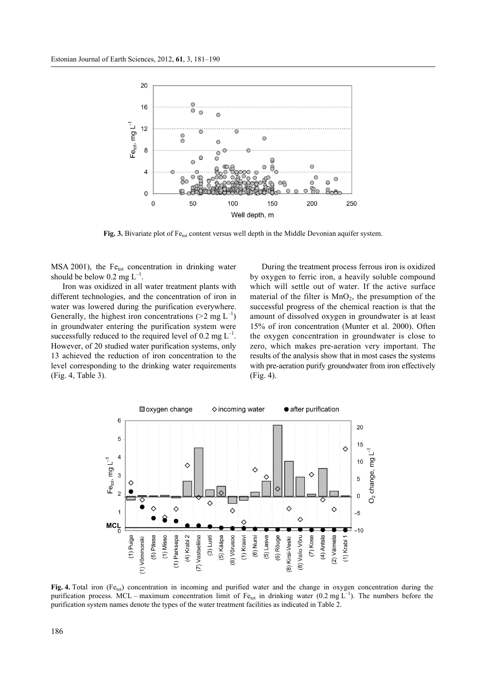

Fig. 3. Bivariate plot of Fe<sub>tot</sub> content versus well depth in the Middle Devonian aquifer system.

MSA 2001), the  $Fe<sub>tot</sub>$  concentration in drinking water should be below 0.2 mg  $L^{-1}$ .

Iron was oxidized in all water treatment plants with different technologies, and the concentration of iron in water was lowered during the purification everywhere. Generally, the highest iron concentrations ( $>2$  mg L<sup>-1</sup>) in groundwater entering the purification system were successfully reduced to the required level of 0.2 mg  $L^{-1}$ . However, of 20 studied water purification systems, only 13 achieved the reduction of iron concentration to the level corresponding to the drinking water requirements (Fig. 4, Table 3).

During the treatment process ferrous iron is oxidized by oxygen to ferric iron, a heavily soluble compound which will settle out of water. If the active surface material of the filter is  $MnO<sub>2</sub>$ , the presumption of the successful progress of the chemical reaction is that the amount of dissolved oxygen in groundwater is at least 15% of iron concentration (Munter et al. 2000). Often the oxygen concentration in groundwater is close to zero, which makes pre-aeration very important. The results of the analysis show that in most cases the systems with pre-aeration purify groundwater from iron effectively (Fig. 4).



Fig. 4. Total iron (Fe<sub>tot</sub>) concentration in incoming and purified water and the change in oxygen concentration during the purification process. MCL – maximum concentration limit of Fe<sub>tot</sub> in drinking water (0.2 mg L<sup>-1</sup>). The numbers before the purification system names denote the types of the water treatment facilities as indicated in Table 2.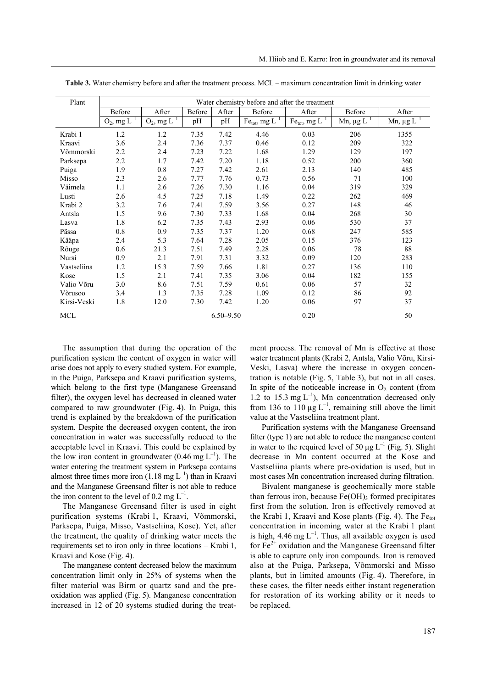| Plant       | Water chemistry before and after the treatment |                     |        |               |                       |                                            |                             |                      |
|-------------|------------------------------------------------|---------------------|--------|---------------|-----------------------|--------------------------------------------|-----------------------------|----------------------|
|             | Before                                         | After               | Before | After         | Before                | After                                      | Before                      | After                |
|             | $O_2$ , mg $L^{-1}$                            | $O_2$ , mg $L^{-1}$ | pH     | pH            | $Fetot$ , mg $L^{-1}$ | Fe <sub>tot</sub> , mg $\overline{L^{-1}}$ | Mn, $\mu$ g L <sup>-1</sup> | Mn, $\mu$ g $L^{-1}$ |
| Krabi 1     | 1.2                                            | 1.2                 | 7.35   | 7.42          | 4.46                  | 0.03                                       | 206                         | 1355                 |
| Kraavi      | 3.6                                            | 2.4                 | 7.36   | 7.37          | 0.46                  | 0.12                                       | 209                         | 322                  |
| Võmmorski   | 2.2                                            | 2.4                 | 7.23   | 7.22          | 1.68                  | 1.29                                       | 129                         | 197                  |
| Parksepa    | 2.2                                            | 1.7                 | 7.42   | 7.20          | 1.18                  | 0.52                                       | 200                         | 360                  |
| Puiga       | 1.9                                            | 0.8                 | 7.27   | 7.42          | 2.61                  | 2.13                                       | 140                         | 485                  |
| Misso       | 2.3                                            | 2.6                 | 7.77   | 7.76          | 0.73                  | 0.56                                       | 71                          | 100                  |
| Väimela     | 1.1                                            | 2.6                 | 7.26   | 7.30          | 1.16                  | 0.04                                       | 319                         | 329                  |
| Lusti       | 2.6                                            | 4.5                 | 7.25   | 7.18          | 1.49                  | 0.22                                       | 262                         | 469                  |
| Krabi 2     | 3.2                                            | 7.6                 | 7.41   | 7.59          | 3.56                  | 0.27                                       | 148                         | 46                   |
| Antsla      | 1.5                                            | 9.6                 | 7.30   | 7.33          | 1.68                  | 0.04                                       | 268                         | 30                   |
| Lasva       | 1.8                                            | 6.2                 | 7.35   | 7.43          | 2.93                  | 0.06                                       | 530                         | 37                   |
| Pässa       | 0.8                                            | 0.9                 | 7.35   | 7.37          | 1.20                  | 0.68                                       | 247                         | 585                  |
| Kääpa       | 2.4                                            | 5.3                 | 7.64   | 7.28          | 2.05                  | 0.15                                       | 376                         | 123                  |
| Rõuge       | 0.6                                            | 21.3                | 7.51   | 7.49          | 2.28                  | 0.06                                       | 78                          | 88                   |
| Nursi       | 0.9                                            | 2.1                 | 7.91   | 7.31          | 3.32                  | 0.09                                       | 120                         | 283                  |
| Vastseliina | 1.2                                            | 15.3                | 7.59   | 7.66          | 1.81                  | 0.27                                       | 136                         | 110                  |
| Kose        | 1.5                                            | 2.1                 | 7.41   | 7.35          | 3.06                  | 0.04                                       | 182                         | 155                  |
| Valio Võru  | 3.0                                            | 8.6                 | 7.51   | 7.59          | 0.61                  | 0.06                                       | 57                          | 32                   |
| Võrusoo     | 3.4                                            | 1.3                 | 7.35   | 7.28          | 1.09                  | 0.12                                       | 86                          | 92                   |
| Kirsi-Veski | 1.8                                            | 12.0                | 7.30   | 7.42          | 1.20                  | 0.06                                       | 97                          | 37                   |
| <b>MCL</b>  |                                                |                     |        | $6.50 - 9.50$ |                       | 0.20                                       |                             | 50                   |

**Table 3.** Water chemistry before and after the treatment process. MCL – maximum concentration limit in drinking water

The assumption that during the operation of the purification system the content of oxygen in water will arise does not apply to every studied system. For example, in the Puiga, Parksepa and Kraavi purification systems, which belong to the first type (Manganese Greensand filter), the oxygen level has decreased in cleaned water compared to raw groundwater (Fig. 4). In Puiga, this trend is explained by the breakdown of the purification system. Despite the decreased oxygen content, the iron concentration in water was successfully reduced to the acceptable level in Kraavi. This could be explained by the low iron content in groundwater (0.46 mg  $L^{-1}$ ). The water entering the treatment system in Parksepa contains almost three times more iron (1.18 mg  $L^{-1}$ ) than in Kraavi and the Manganese Greensand filter is not able to reduce the iron content to the level of 0.2 mg  $L^{-1}$ .

The Manganese Greensand filter is used in eight purification systems (Krabi 1, Kraavi, Võmmorski, Parksepa, Puiga, Misso, Vastseliina, Kose). Yet, after the treatment, the quality of drinking water meets the requirements set to iron only in three locations  $-$  Krabi 1, Kraavi and Kose (Fig. 4).

The manganese content decreased below the maximum concentration limit only in 25% of systems when the filter material was Birm or quartz sand and the preoxidation was applied (Fig. 5). Manganese concentration increased in 12 of 20 systems studied during the treatment process. The removal of Mn is effective at those water treatment plants (Krabi 2, Antsla, Valio Võru, Kirsi-Veski, Lasva) where the increase in oxygen concentration is notable (Fig. 5, Table 3), but not in all cases. In spite of the noticeable increase in  $O<sub>2</sub>$  content (from 1.2 to 15.3 mg  $L^{-1}$ ), Mn concentration decreased only from 136 to 110  $\mu$ g L<sup>-1</sup>, remaining still above the limit value at the Vastseliina treatment plant.

Purification systems with the Manganese Greensand filter (type 1) are not able to reduce the manganese content in water to the required level of 50  $\mu$ g L<sup>-1</sup> (Fig. 5). Slight decrease in Mn content occurred at the Kose and Vastseliina plants where pre-oxidation is used, but in most cases Mn concentration increased during filtration.

Bivalent manganese is geochemically more stable than ferrous iron, because  $Fe(OH)$ <sub>3</sub> formed precipitates first from the solution. Iron is effectively removed at the Krabi 1, Kraavi and Kose plants (Fig. 4). The  $Fe<sub>tot</sub>$ concentration in incoming water at the Krabi 1 plant is high, 4.46 mg  $L^{-1}$ . Thus, all available oxygen is used for  $Fe<sup>2+</sup>$  oxidation and the Manganese Greensand filter is able to capture only iron compounds. Iron is removed also at the Puiga, Parksepa, Võmmorski and Misso plants, but in limited amounts (Fig. 4). Therefore, in these cases, the filter needs either instant regeneration for restoration of its working ability or it needs to be replaced.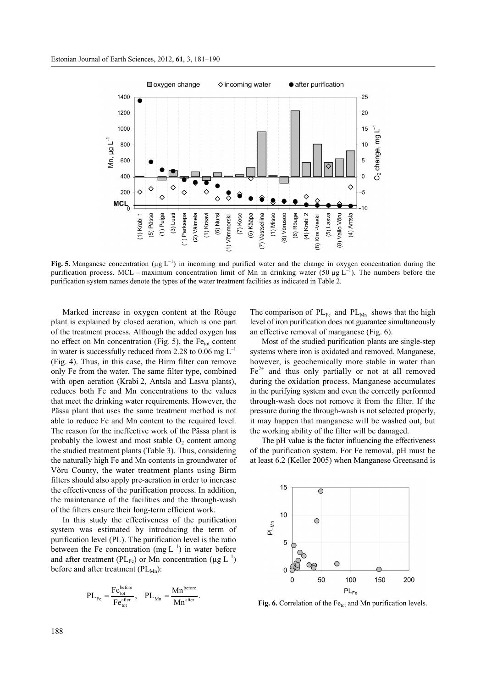

**Fig. 5.** Manganese concentration ( $\mu$ g L<sup>-1</sup>) in incoming and purified water and the change in oxygen concentration during the purification process. MCL – maximum concentration limit of Mn in drinking water (50  $\mu$ g L<sup>-1</sup>). The numbers before the purification system names denote the types of the water treatment facilities as indicated in Table 2.

Marked increase in oxygen content at the Rõuge plant is explained by closed aeration, which is one part of the treatment process. Although the added oxygen has no effect on Mn concentration (Fig. 5), the Fe<sub>tot</sub> content in water is successfully reduced from 2.28 to 0.06 mg  $L^{-1}$ (Fig. 4). Thus, in this case, the Birm filter can remove only Fe from the water. The same filter type, combined with open aeration (Krabi 2, Antsla and Lasva plants), reduces both Fe and Mn concentrations to the values that meet the drinking water requirements. However, the Pässa plant that uses the same treatment method is not able to reduce Fe and Mn content to the required level. The reason for the ineffective work of the Pässa plant is probably the lowest and most stable  $O<sub>2</sub>$  content among the studied treatment plants (Table 3). Thus, considering the naturally high Fe and Mn contents in groundwater of Võru County, the water treatment plants using Birm filters should also apply pre-aeration in order to increase the effectiveness of the purification process. In addition, the maintenance of the facilities and the through-wash of the filters ensure their long-term efficient work.

In this study the effectiveness of the purification system was estimated by introducing the term of purification level (PL). The purification level is the ratio between the Fe concentration (mg  $L^{-1}$ ) in water before and after treatment ( $PL_{Fe}$ ) or Mn concentration ( $\mu$ g L<sup>-1</sup>) before and after treatment  $(PL_{Mn})$ :

$$
PL_{Fe} = \frac{Fe_{tot}^{before}}{Fe_{tot}^{after}}, \quad PL_{Mn} = \frac{Mn^{before}}{Mn^{after}}.
$$

The comparison of  $PL_{Fe}$  and  $PL_{Mn}$  shows that the high level of iron purification does not guarantee simultaneously an effective removal of manganese (Fig. 6).

Most of the studied purification plants are single-step systems where iron is oxidated and removed. Manganese, however, is geochemically more stable in water than  $Fe<sup>2+</sup>$  and thus only partially or not at all removed during the oxidation process. Manganese accumulates in the purifying system and even the correctly performed through-wash does not remove it from the filter. If the pressure during the through-wash is not selected properly, it may happen that manganese will be washed out, but the working ability of the filter will be damaged.

The pH value is the factor influencing the effectiveness of the purification system. For Fe removal, pH must be at least 6.2 (Keller 2005) when Manganese Greensand is



Fig. 6. Correlation of the Fe<sub>tot</sub> and Mn purification levels.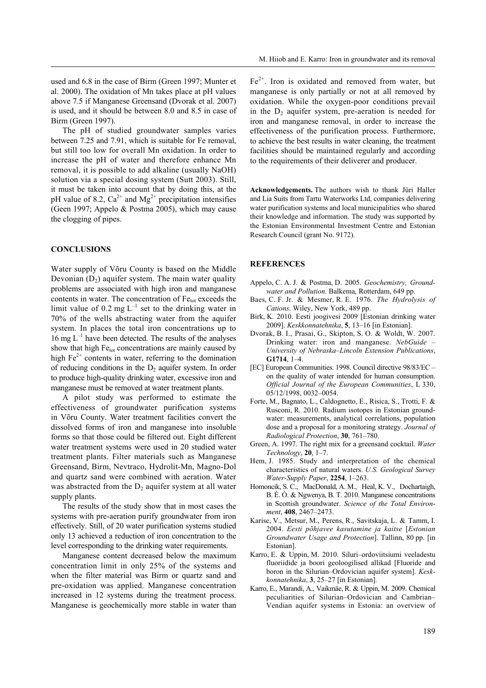used and 6.8 in the case of Birm (Green 1997; Munter et al. 2000). The oxidation of Mn takes place at pH values above 7.5 if Manganese Greensand (Dvorak et al. 2007) is used, and it should be between 8.0 and 8.5 in case of Birm (Green 1997).

The pH of studied groundwater samples varies between 7.25 and 7.91, which is suitable for Fe removal, but still too low for overall Mn oxidation. In order to increase the pH of water and therefore enhance Mn removal, it is possible to add alkaline (usually NaOH) solution via a special dosing system (Sutt 2003). Still, it must be taken into account that by doing this, at the pH value of 8.2,  $Ca^{2+}$  and Mg<sup>2+</sup> precipitation intensifies (Geen 1997; Appelo & Postma 2005), which may cause the clogging of pipes.

## **CONCLUSIONS**

Water supply of Võru County is based on the Middle Devonian  $(D_2)$  aquifer system. The main water quality problems are associated with high iron and manganese contents in water. The concentration of  $Fe<sub>tot</sub>$  exceeds the limit value of 0.2 mg  $L^{-1}$  set to the drinking water in 70% of the wells abstracting water from the aquifer system. In places the total iron concentrations up to 16 mg  $L^{-1}$  have been detected. The results of the analyses show that high  $Fe<sub>tot</sub>$  concentrations are mainly caused by high  $Fe<sup>2+</sup>$  contents in water, referring to the domination of reducing conditions in the  $D_2$  aquifer system. In order to produce high-quality drinking water, excessive iron and manganese must be removed at water treatment plants.

A pilot study was performed to estimate the effectiveness of groundwater purification systems in Võru County. Water treatment facilities convert the dissolved forms of iron and manganese into insoluble forms so that those could be filtered out. Eight different water treatment systems were used in 20 studied water treatment plants. Filter materials such as Manganese Greensand, Birm, Nevtraco, Hydrolit-Mn, Magno-Dol and quartz sand were combined with aeration. Water was abstracted from the  $D_2$  aquifer system at all water supply plants.

The results of the study show that in most cases the systems with pre-aeration purify groundwater from iron effectively. Still, of 20 water purification systems studied only 13 achieved a reduction of iron concentration to the level corresponding to the drinking water requirements.

Manganese content decreased below the maximum concentration limit in only 25% of the systems and when the filter material was Birm or quartz sand and pre-oxidation was applied. Manganese concentration increased in 12 systems during the treatment process. Manganese is geochemically more stable in water than  $Fe<sup>2+</sup>$ . Iron is oxidated and removed from water, but manganese is only partially or not at all removed by oxidation. While the oxygen-poor conditions prevail in the  $D_2$  aquifer system, pre-aeration is needed for iron and manganese removal, in order to increase the effectiveness of the purification process. Furthermore, to achieve the best results in water cleaning, the treatment facilities should be maintained regularly and according to the requirements of their deliverer and producer.

Acknowledgements. The authors wish to thank Jüri Haller and Lia Suits from Tartu Waterworks Ltd, companies delivering water purification systems and local municipalities who shared their knowledge and information. The study was supported by the Estonian Environmental Investment Centre and Estonian Research Council (grant No. 9172).

#### **REFERENCES**

- Appelo, C. A. J. & Postma, D. 2005. *Geochemistry, Groundwater and Pollution*. Balkema, Rotterdam, 649 pp.
- Baes, C. F. Jr. & Mesmer, R. E. 1976. *The Hydrolysis of Cations*. Wiley, New York, 489 pp.
- Birk, K. 2010. Eesti joogivesi 2009 [Estonian drinking water 2009]. *Keskkonnatehnika*, **5**, 13-16 [in Estonian].
- Dvorak, B. I., Prasai, G., Skipton, S. O. & Woldt, W. 2007. Drinking water: iron and manganese. *NebGuide* – *University of Nebraska–Lincoln Extension Publications,* **G1714**, 1-4.
- [EC] European Communities. 1998. Council directive 98/83/EC on the quality of water intended for human consumption. *Official Journal of the European Communities*, L 330, 05/12/1998, 0032-0054.
- Forte, M., Bagnato, L., Caldognetto, E., Risica, S., Trotti, F. & Rusconi, R. 2010. Radium isotopes in Estonian groundwater: measurements, analytical correlations, population dose and a proposal for a monitoring strategy. *Journal of Radiological Protection*, 30, 761-780.
- Green, A. 1997. The right mix for a greensand cocktail. *Water Technology*, **20**, 1–7.
- Hem, J. 1985. Study and interpretation of the chemical characteristics of natural waters. *U.S. Geological Survey Water-Supply Paper*, 2254, 1-263.
- Homoncik, S. C., MacDonald, A. M., Heal, K. V., Dochartaigh, B. É. Ó. & Ngwenya, B. T. 2010. Manganese concentrations in Scottish groundwater. *Science of the Total Environment*, 408, 2467-2473.
- Karise, V., Metsur, M., Perens, R., Savitskaja, L. & Tamm, I. 2004. *Eesti pıhjavee kasutamine ja kaitse* [*Estonian Groundwater Usage and Protection*]. Tallinn, 80 pp. [in Estonian].
- Karro, E. & Uppin, M. 2010. Siluri-ordoviitsiumi veeladestu fluoriidide ja boori geoloogilised allikad [Fluoride and boron in the Silurian–Ordovician aquifer system]. *Keskkonnatehnika*, 3, 25–27 [in Estonian].
- Karro, E., Marandi, A., Vaikmäe, R. & Uppin, M. 2009. Chemical peculiarities of Silurian-Ordovician and Cambrian-Vendian aquifer systems in Estonia: an overview of